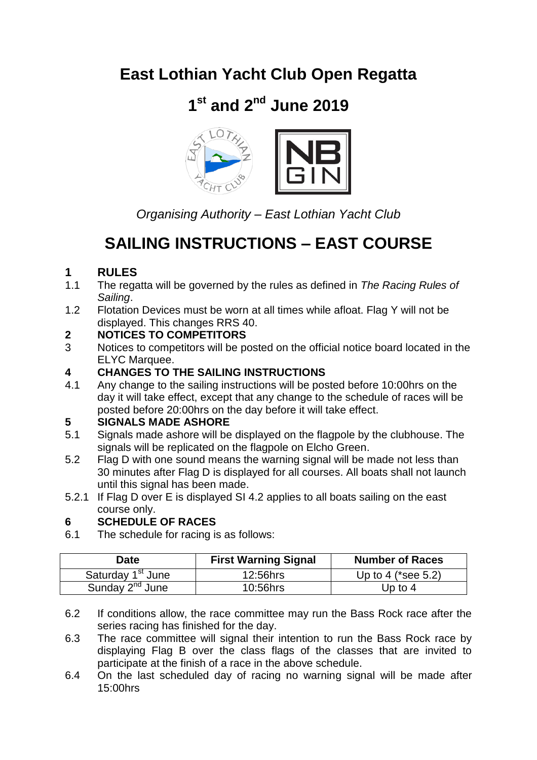## **East Lothian Yacht Club Open Regatta**

## **1 st and 2 nd June 2019**



*Organising Authority – East Lothian Yacht Club*

## **SAILING INSTRUCTIONS – EAST COURSE**

## **1 RULES**

- 1.1 The regatta will be governed by the rules as defined in *The Racing Rules of Sailing*.
- 1.2 Flotation Devices must be worn at all times while afloat. Flag Y will not be displayed. This changes RRS 40.

### **2 NOTICES TO COMPETITORS**

3 Notices to competitors will be posted on the official notice board located in the ELYC Marquee.

# **4 CHANGES TO THE SAILING INSTRUCTIONS**<br>**4.1** Any change to the sailing instructions will be pos

4.1 Any change to the sailing instructions will be posted before 10:00hrs on the day it will take effect, except that any change to the schedule of races will be posted before 20:00hrs on the day before it will take effect.

# **5 SIGNALS MADE ASHORE**

- Signals made ashore will be displayed on the flagpole by the clubhouse. The signals will be replicated on the flagpole on Elcho Green.
- 5.2 Flag D with one sound means the warning signal will be made not less than 30 minutes after Flag D is displayed for all courses. All boats shall not launch until this signal has been made.
- 5.2.1 If Flag D over E is displayed SI 4.2 applies to all boats sailing on the east course only.

## **6 SCHEDULE OF RACES**

6.1 The schedule for racing is as follows:

| <b>Date</b>                   | <b>First Warning Signal</b> | <b>Number of Races</b>         |
|-------------------------------|-----------------------------|--------------------------------|
| Saturday 1 <sup>st</sup> June | 12:56hrs                    | Up to 4 ( $\text{*see } 5.2$ ) |
| Sunday 2 <sup>nd</sup> June   | 10:56hrs                    | Up to 4                        |

- 6.2 If conditions allow, the race committee may run the Bass Rock race after the series racing has finished for the day.
- 6.3 The race committee will signal their intention to run the Bass Rock race by displaying Flag B over the class flags of the classes that are invited to participate at the finish of a race in the above schedule.
- 6.4 On the last scheduled day of racing no warning signal will be made after 15:00hrs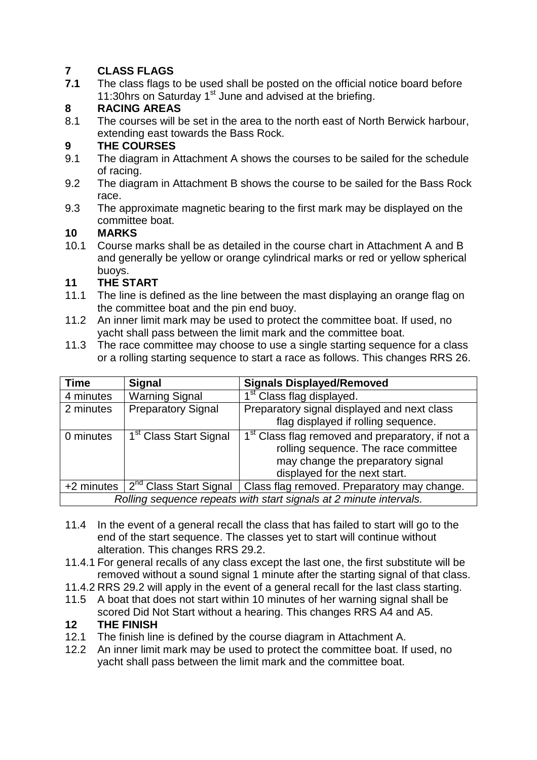## **7 CLASS FLAGS**

**7.1** The class flags to be used shall be posted on the official notice board before 11:30hrs on Saturday 1<sup>st</sup> June and advised at the briefing.

# **8 RACING AREAS**

The courses will be set in the area to the north east of North Berwick harbour, extending east towards the Bass Rock.

## **9 THE COURSES**

- 9.1 The diagram in Attachment A shows the courses to be sailed for the schedule of racing.
- 9.2 The diagram in Attachment B shows the course to be sailed for the Bass Rock race.
- 9.3 The approximate magnetic bearing to the first mark may be displayed on the committee boat.

### **10 MARKS**

10.1 Course marks shall be as detailed in the course chart in Attachment A and B and generally be yellow or orange cylindrical marks or red or yellow spherical buoys.

### **11 THE START**

- 11.1 The line is defined as the line between the mast displaying an orange flag on the committee boat and the pin end buoy.
- 11.2 An inner limit mark may be used to protect the committee boat. If used, no yacht shall pass between the limit mark and the committee boat.
- 11.3 The race committee may choose to use a single starting sequence for a class or a rolling starting sequence to start a race as follows. This changes RRS 26.

| <b>Time</b>                                                        | <b>Signal</b>                      | <b>Signals Displayed/Removed</b>                             |
|--------------------------------------------------------------------|------------------------------------|--------------------------------------------------------------|
| 4 minutes                                                          | <b>Warning Signal</b>              | 1 <sup>st</sup> Class flag displayed.                        |
| 2 minutes                                                          | <b>Preparatory Signal</b>          | Preparatory signal displayed and next class                  |
|                                                                    |                                    | flag displayed if rolling sequence.                          |
| 0 minutes                                                          | 1 <sup>st</sup> Class Start Signal | 1 <sup>st</sup> Class flag removed and preparatory, if not a |
|                                                                    |                                    | rolling sequence. The race committee                         |
|                                                                    |                                    | may change the preparatory signal                            |
|                                                                    |                                    | displayed for the next start.                                |
| +2 minutes                                                         | 2 <sup>nd</sup> Class Start Signal | Class flag removed. Preparatory may change.                  |
| Rolling sequence repeats with start signals at 2 minute intervals. |                                    |                                                              |

- 11.4 In the event of a general recall the class that has failed to start will go to the end of the start sequence. The classes yet to start will continue without alteration. This changes RRS 29.2.
- 11.4.1 For general recalls of any class except the last one, the first substitute will be removed without a sound signal 1 minute after the starting signal of that class.
- 11.4.2 RRS 29.2 will apply in the event of a general recall for the last class starting.
- 11.5 A boat that does not start within 10 minutes of her warning signal shall be scored Did Not Start without a hearing. This changes RRS A4 and A5.

## **12 THE FINISH**

- 12.1 The finish line is defined by the course diagram in Attachment A.
- 12.2 An inner limit mark may be used to protect the committee boat. If used, no yacht shall pass between the limit mark and the committee boat.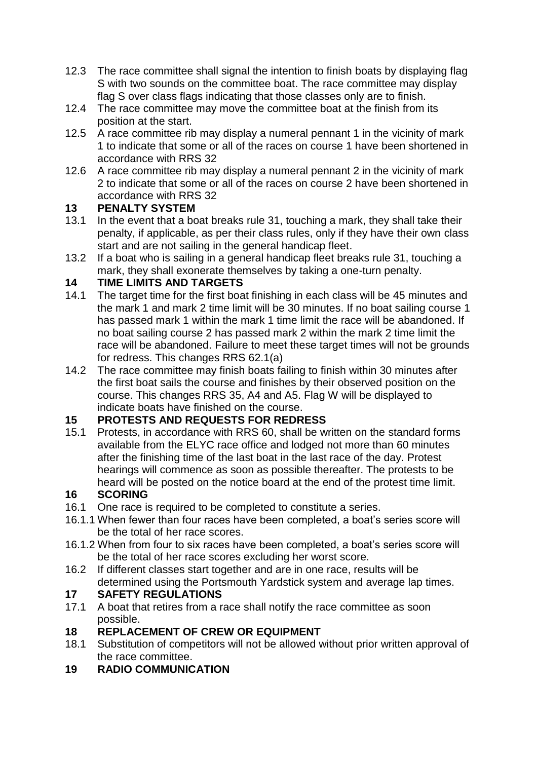- 12.3 The race committee shall signal the intention to finish boats by displaying flag S with two sounds on the committee boat. The race committee may display flag S over class flags indicating that those classes only are to finish.
- 12.4 The race committee may move the committee boat at the finish from its position at the start.
- 12.5 A race committee rib may display a numeral pennant 1 in the vicinity of mark 1 to indicate that some or all of the races on course 1 have been shortened in accordance with RRS 32
- 12.6 A race committee rib may display a numeral pennant 2 in the vicinity of mark 2 to indicate that some or all of the races on course 2 have been shortened in accordance with RRS 32

### **13 PENALTY SYSTEM**

- 13.1 In the event that a boat breaks rule 31, touching a mark, they shall take their penalty, if applicable, as per their class rules, only if they have their own class start and are not sailing in the general handicap fleet.
- 13.2 If a boat who is sailing in a general handicap fleet breaks rule 31, touching a mark, they shall exonerate themselves by taking a one-turn penalty.

### **14 TIME LIMITS AND TARGETS**

- 14.1 The target time for the first boat finishing in each class will be 45 minutes and the mark 1 and mark 2 time limit will be 30 minutes. If no boat sailing course 1 has passed mark 1 within the mark 1 time limit the race will be abandoned. If no boat sailing course 2 has passed mark 2 within the mark 2 time limit the race will be abandoned. Failure to meet these target times will not be grounds for redress. This changes RRS 62.1(a)
- 14.2 The race committee may finish boats failing to finish within 30 minutes after the first boat sails the course and finishes by their observed position on the course. This changes RRS 35, A4 and A5. Flag W will be displayed to indicate boats have finished on the course.

## **15 PROTESTS AND REQUESTS FOR REDRESS**

15.1 Protests, in accordance with RRS 60, shall be written on the standard forms available from the ELYC race office and lodged not more than 60 minutes after the finishing time of the last boat in the last race of the day. Protest hearings will commence as soon as possible thereafter. The protests to be heard will be posted on the notice board at the end of the protest time limit.

#### **16 SCORING**

- 16.1 One race is required to be completed to constitute a series.
- 16.1.1 When fewer than four races have been completed, a boat's series score will be the total of her race scores.
- 16.1.2 When from four to six races have been completed, a boat's series score will be the total of her race scores excluding her worst score.
- 16.2 If different classes start together and are in one race, results will be determined using the Portsmouth Yardstick system and average lap times.

# **17 SAFETY REGULATIONS**

A boat that retires from a race shall notify the race committee as soon possible.

#### **18 REPLACEMENT OF CREW OR EQUIPMENT**

- 18.1 Substitution of competitors will not be allowed without prior written approval of the race committee.
- **19 RADIO COMMUNICATION**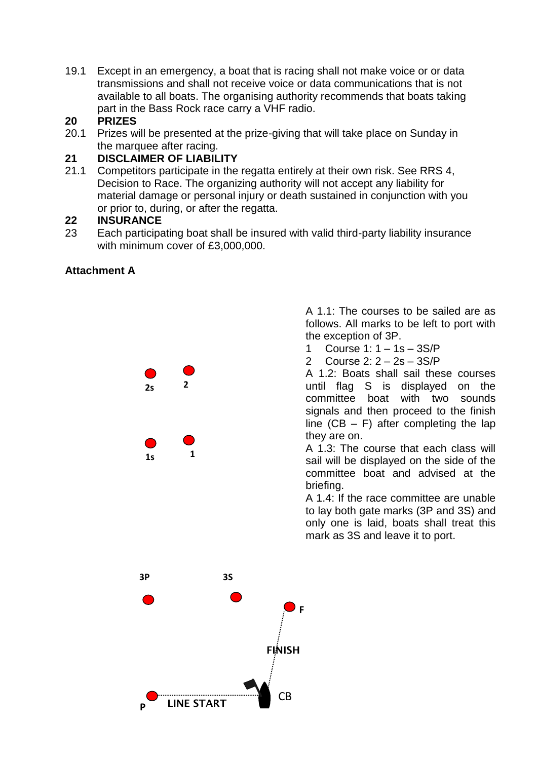19.1 Except in an emergency, a boat that is racing shall not make voice or or data transmissions and shall not receive voice or data communications that is not available to all boats. The organising authority recommends that boats taking part in the Bass Rock race carry a VHF radio.

#### **20 PRIZES**

20.1 Prizes will be presented at the prize-giving that will take place on Sunday in the marquee after racing.

#### **21 DISCLAIMER OF LIABILITY**

21.1 Competitors participate in the regatta entirely at their own risk. See RRS 4, Decision to Race. The organizing authority will not accept any liability for material damage or personal injury or death sustained in conjunction with you or prior to, during, or after the regatta.

#### **22 INSURANCE**

23 Each participating boat shall be insured with valid third-party liability insurance with minimum cover of £3,000,000.

#### **Attachment A**





A 1.1: The courses to be sailed are as follows. All marks to be left to port with the exception of 3P.

- 1 Course 1: 1 1s 3S/P
- 2 Course 2: 2 2s 3S/P

A 1.2: Boats shall sail these courses until flag S is displayed on the committee boat with two sounds signals and then proceed to the finish line  $(CB - F)$  after completing the lap they are on.

A 1.3: The course that each class will sail will be displayed on the side of the committee boat and advised at the briefing.

A 1.4: If the race committee are unable to lay both gate marks (3P and 3S) and only one is laid, boats shall treat this mark as 3S and leave it to port.